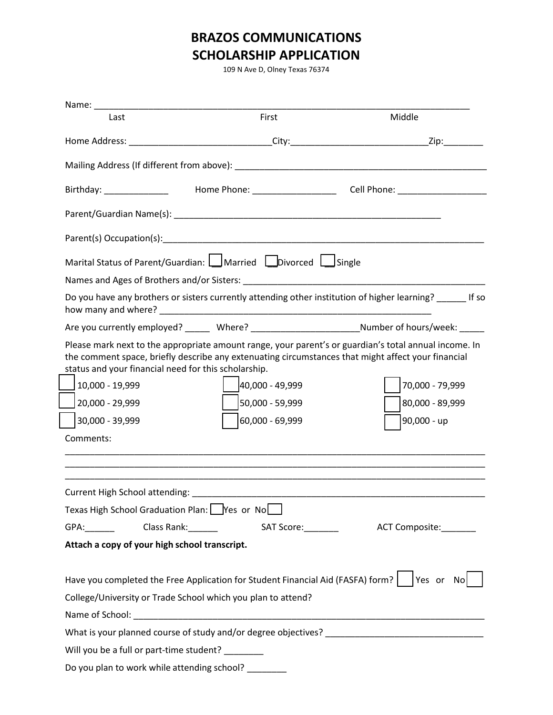## **BRAZOS COMMUNICATIONS SCHOLARSHIP APPLICATION**

109 N Ave D, Olney Texas 76374

| Name: Name:                                                        |                                                                                                               |                                                                                                                                                         |
|--------------------------------------------------------------------|---------------------------------------------------------------------------------------------------------------|---------------------------------------------------------------------------------------------------------------------------------------------------------|
| Last                                                               | First                                                                                                         | Middle                                                                                                                                                  |
|                                                                    |                                                                                                               |                                                                                                                                                         |
|                                                                    |                                                                                                               |                                                                                                                                                         |
|                                                                    |                                                                                                               |                                                                                                                                                         |
|                                                                    |                                                                                                               |                                                                                                                                                         |
|                                                                    |                                                                                                               |                                                                                                                                                         |
|                                                                    | Marital Status of Parent/Guardian:   Married Divorced   Single                                                |                                                                                                                                                         |
|                                                                    |                                                                                                               |                                                                                                                                                         |
|                                                                    |                                                                                                               | Do you have any brothers or sisters currently attending other institution of higher learning? _______ If so                                             |
|                                                                    |                                                                                                               | Are you currently employed? _______ Where? __________________________Number of hours/week: ______                                                       |
| 10,000 - 19,999<br>20,000 - 29,999<br>30,000 - 39,999<br>Comments: | status and your financial need for this scholarship.<br>40,000 - 49,999<br>50,000 - 59,999<br>60,000 - 69,999 | the comment space, briefly describe any extenuating circumstances that might affect your financial<br>70,000 - 79,999<br>80,000 - 89,999<br>90,000 - up |
|                                                                    |                                                                                                               |                                                                                                                                                         |
|                                                                    | Texas High School Graduation Plan: Ves or No                                                                  |                                                                                                                                                         |
| GPA: Class Rank:                                                   |                                                                                                               | SAT Score:__________<br>ACT Composite:_______                                                                                                           |
| Attach a copy of your high school transcript.                      |                                                                                                               |                                                                                                                                                         |
|                                                                    | College/University or Trade School which you plan to attend?                                                  | Have you completed the Free Application for Student Financial Aid (FASFA) form?   Yes or No                                                             |
|                                                                    |                                                                                                               |                                                                                                                                                         |
| Will you be a full or part-time student?                           |                                                                                                               |                                                                                                                                                         |
|                                                                    | Do you plan to work while attending school? _________                                                         |                                                                                                                                                         |